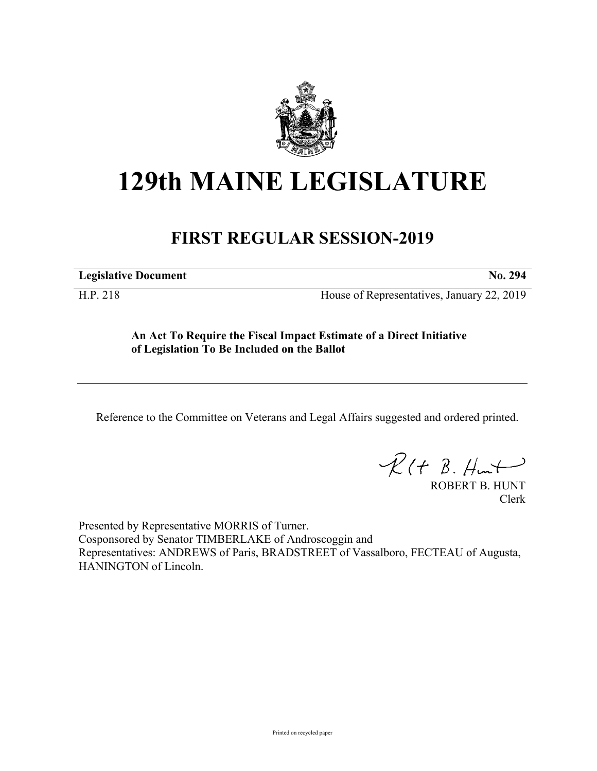

## **129th MAINE LEGISLATURE**

## **FIRST REGULAR SESSION-2019**

**Legislative Document No. 294**

H.P. 218 House of Representatives, January 22, 2019

**An Act To Require the Fiscal Impact Estimate of a Direct Initiative of Legislation To Be Included on the Ballot**

Reference to the Committee on Veterans and Legal Affairs suggested and ordered printed.

 $R(t B. Hmt)$ 

ROBERT B. HUNT Clerk

Presented by Representative MORRIS of Turner. Cosponsored by Senator TIMBERLAKE of Androscoggin and Representatives: ANDREWS of Paris, BRADSTREET of Vassalboro, FECTEAU of Augusta, HANINGTON of Lincoln.